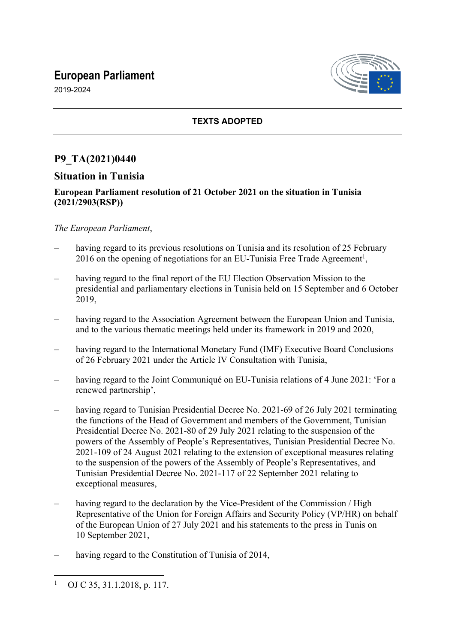# **European Parliament**



2019-2024

### **TEXTS ADOPTED**

## **P9\_TA(2021)0440**

### **Situation in Tunisia**

#### **European Parliament resolution of 21 October 2021 on the situation in Tunisia (2021/2903(RSP))**

#### *The European Parliament*,

- having regard to its previous resolutions on Tunisia and its resolution of 25 February 2016 on the opening of negotiations for an EU-Tunisia Free Trade Agreement<sup>1</sup>,
- having regard to the final report of the EU Election Observation Mission to the presidential and parliamentary elections in Tunisia held on 15 September and 6 October 2019,
- having regard to the Association Agreement between the European Union and Tunisia, and to the various thematic meetings held under its framework in 2019 and 2020,
- having regard to the International Monetary Fund (IMF) Executive Board Conclusions of 26 February 2021 under the Article IV Consultation with Tunisia,
- having regard to the Joint Communiqué on EU-Tunisia relations of 4 June 2021: 'For a renewed partnership',
- having regard to Tunisian Presidential Decree No. 2021-69 of 26 July 2021 terminating the functions of the Head of Government and members of the Government, Tunisian Presidential Decree No. 2021-80 of 29 July 2021 relating to the suspension of the powers of the Assembly of People's Representatives, Tunisian Presidential Decree No. 2021-109 of 24 August 2021 relating to the extension of exceptional measures relating to the suspension of the powers of the Assembly of People's Representatives, and Tunisian Presidential Decree No. 2021-117 of 22 September 2021 relating to exceptional measures,
- having regard to the declaration by the Vice-President of the Commission / High Representative of the Union for Foreign Affairs and Security Policy (VP/HR) on behalf of the European Union of 27 July 2021 and his statements to the press in Tunis on 10 September 2021,
- having regard to the Constitution of Tunisia of 2014,

<sup>1</sup> OJ C 35, 31.1.2018, p. 117.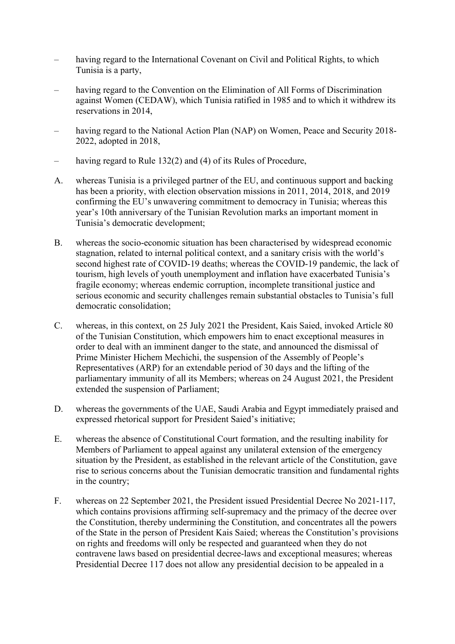- having regard to the International Covenant on Civil and Political Rights, to which Tunisia is a party,
- having regard to the Convention on the Elimination of All Forms of Discrimination against Women (CEDAW), which Tunisia ratified in 1985 and to which it withdrew its reservations in 2014,
- having regard to the National Action Plan (NAP) on Women, Peace and Security 2018-2022, adopted in 2018,
- having regard to Rule 132(2) and (4) of its Rules of Procedure,
- A. whereas Tunisia is a privileged partner of the EU, and continuous support and backing has been a priority, with election observation missions in 2011, 2014, 2018, and 2019 confirming the EU's unwavering commitment to democracy in Tunisia; whereas this year's 10th anniversary of the Tunisian Revolution marks an important moment in Tunisia's democratic development;
- B. whereas the socio-economic situation has been characterised by widespread economic stagnation, related to internal political context, and a sanitary crisis with the world's second highest rate of COVID-19 deaths; whereas the COVID-19 pandemic, the lack of tourism, high levels of youth unemployment and inflation have exacerbated Tunisia's fragile economy; whereas endemic corruption, incomplete transitional justice and serious economic and security challenges remain substantial obstacles to Tunisia's full democratic consolidation;
- C. whereas, in this context, on 25 July 2021 the President, Kais Saied, invoked Article 80 of the Tunisian Constitution, which empowers him to enact exceptional measures in order to deal with an imminent danger to the state, and announced the dismissal of Prime Minister Hichem Mechichi, the suspension of the Assembly of People's Representatives (ARP) for an extendable period of 30 days and the lifting of the parliamentary immunity of all its Members; whereas on 24 August 2021, the President extended the suspension of Parliament;
- D. whereas the governments of the UAE, Saudi Arabia and Egypt immediately praised and expressed rhetorical support for President Saied's initiative;
- E. whereas the absence of Constitutional Court formation, and the resulting inability for Members of Parliament to appeal against any unilateral extension of the emergency situation by the President, as established in the relevant article of the Constitution, gave rise to serious concerns about the Tunisian democratic transition and fundamental rights in the country;
- F. whereas on 22 September 2021, the President issued Presidential Decree No 2021-117, which contains provisions affirming self-supremacy and the primacy of the decree over the Constitution, thereby undermining the Constitution, and concentrates all the powers of the State in the person of President Kais Saied; whereas the Constitution's provisions on rights and freedoms will only be respected and guaranteed when they do not contravene laws based on presidential decree-laws and exceptional measures; whereas Presidential Decree 117 does not allow any presidential decision to be appealed in a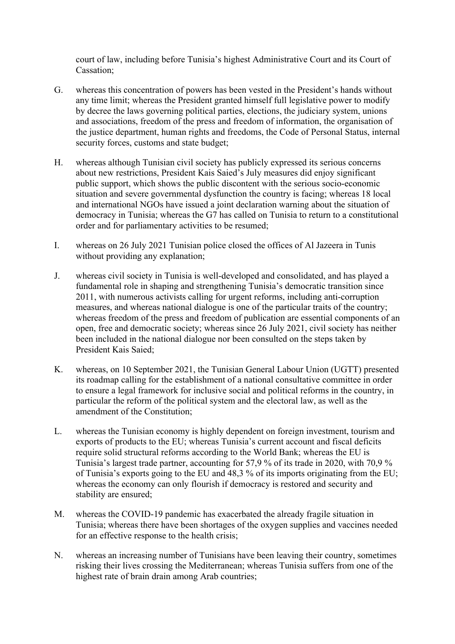court of law, including before Tunisia's highest Administrative Court and its Court of Cassation;

- G. whereas this concentration of powers has been vested in the President's hands without any time limit; whereas the President granted himself full legislative power to modify by decree the laws governing political parties, elections, the judiciary system, unions and associations, freedom of the press and freedom of information, the organisation of the justice department, human rights and freedoms, the Code of Personal Status, internal security forces, customs and state budget;
- H. whereas although Tunisian civil society has publicly expressed its serious concerns about new restrictions, President Kais Saied's July measures did enjoy significant public support, which shows the public discontent with the serious socio-economic situation and severe governmental dysfunction the country is facing; whereas 18 local and international NGOs have issued a joint declaration warning about the situation of democracy in Tunisia; whereas the G7 has called on Tunisia to return to a constitutional order and for parliamentary activities to be resumed;
- I. whereas on 26 July 2021 Tunisian police closed the offices of Al Jazeera in Tunis without providing any explanation;
- J. whereas civil society in Tunisia is well-developed and consolidated, and has played a fundamental role in shaping and strengthening Tunisia's democratic transition since 2011, with numerous activists calling for urgent reforms, including anti-corruption measures, and whereas national dialogue is one of the particular traits of the country; whereas freedom of the press and freedom of publication are essential components of an open, free and democratic society; whereas since 26 July 2021, civil society has neither been included in the national dialogue nor been consulted on the steps taken by President Kais Saied;
- K. whereas, on 10 September 2021, the Tunisian General Labour Union (UGTT) presented its roadmap calling for the establishment of a national consultative committee in order to ensure a legal framework for inclusive social and political reforms in the country, in particular the reform of the political system and the electoral law, as well as the amendment of the Constitution;
- L. whereas the Tunisian economy is highly dependent on foreign investment, tourism and exports of products to the EU; whereas Tunisia's current account and fiscal deficits require solid structural reforms according to the World Bank; whereas the EU is Tunisia's largest trade partner, accounting for 57,9 % of its trade in 2020, with 70,9 % of Tunisia's exports going to the EU and 48,3 % of its imports originating from the EU; whereas the economy can only flourish if democracy is restored and security and stability are ensured;
- M. whereas the COVID-19 pandemic has exacerbated the already fragile situation in Tunisia; whereas there have been shortages of the oxygen supplies and vaccines needed for an effective response to the health crisis;
- N. whereas an increasing number of Tunisians have been leaving their country, sometimes risking their lives crossing the Mediterranean; whereas Tunisia suffers from one of the highest rate of brain drain among Arab countries;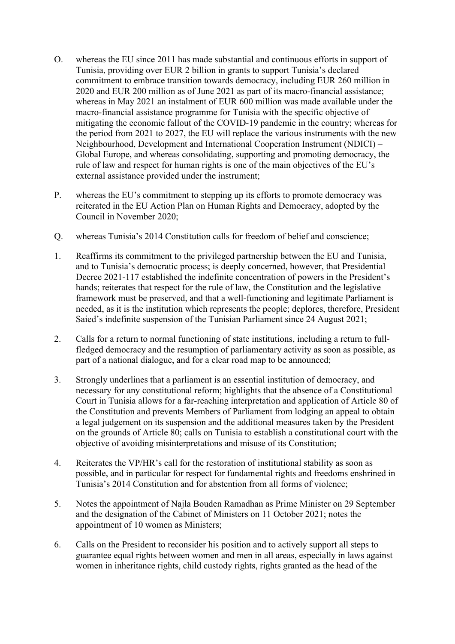- O. whereas the EU since 2011 has made substantial and continuous efforts in support of Tunisia, providing over EUR 2 billion in grants to support Tunisia's declared commitment to embrace transition towards democracy, including EUR 260 million in 2020 and EUR 200 million as of June 2021 as part of its macro-financial assistance; whereas in May 2021 an instalment of EUR 600 million was made available under the macro-financial assistance programme for Tunisia with the specific objective of mitigating the economic fallout of the COVID-19 pandemic in the country; whereas for the period from 2021 to 2027, the EU will replace the various instruments with the new Neighbourhood, Development and International Cooperation Instrument (NDICI) – Global Europe, and whereas consolidating, supporting and promoting democracy, the rule of law and respect for human rights is one of the main objectives of the EU's external assistance provided under the instrument;
- P. whereas the EU's commitment to stepping up its efforts to promote democracy was reiterated in the EU Action Plan on Human Rights and Democracy, adopted by the Council in November 2020;
- Q. whereas Tunisia's 2014 Constitution calls for freedom of belief and conscience;
- 1. Reaffirms its commitment to the privileged partnership between the EU and Tunisia, and to Tunisia's democratic process; is deeply concerned, however, that Presidential Decree 2021-117 established the indefinite concentration of powers in the President's hands; reiterates that respect for the rule of law, the Constitution and the legislative framework must be preserved, and that a well-functioning and legitimate Parliament is needed, as it is the institution which represents the people; deplores, therefore, President Saied's indefinite suspension of the Tunisian Parliament since 24 August 2021;
- 2. Calls for a return to normal functioning of state institutions, including a return to fullfledged democracy and the resumption of parliamentary activity as soon as possible, as part of a national dialogue, and for a clear road map to be announced;
- 3. Strongly underlines that a parliament is an essential institution of democracy, and necessary for any constitutional reform; highlights that the absence of a Constitutional Court in Tunisia allows for a far-reaching interpretation and application of Article 80 of the Constitution and prevents Members of Parliament from lodging an appeal to obtain a legal judgement on its suspension and the additional measures taken by the President on the grounds of Article 80; calls on Tunisia to establish a constitutional court with the objective of avoiding misinterpretations and misuse of its Constitution;
- 4. Reiterates the VP/HR's call for the restoration of institutional stability as soon as possible, and in particular for respect for fundamental rights and freedoms enshrined in Tunisia's 2014 Constitution and for abstention from all forms of violence;
- 5. Notes the appointment of Najla Bouden Ramadhan as Prime Minister on 29 September and the designation of the Cabinet of Ministers on 11 October 2021; notes the appointment of 10 women as Ministers;
- 6. Calls on the President to reconsider his position and to actively support all steps to guarantee equal rights between women and men in all areas, especially in laws against women in inheritance rights, child custody rights, rights granted as the head of the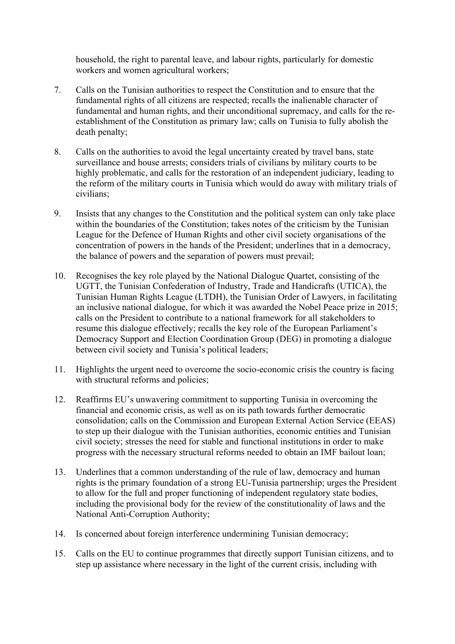household, the right to parental leave, and labour rights, particularly for domestic workers and women agricultural workers;

- 7. Calls on the Tunisian authorities to respect the Constitution and to ensure that the fundamental rights of all citizens are respected; recalls the inalienable character of fundamental and human rights, and their unconditional supremacy, and calls for the reestablishment of the Constitution as primary law; calls on Tunisia to fully abolish the death penalty;
- 8. Calls on the authorities to avoid the legal uncertainty created by travel bans, state surveillance and house arrests; considers trials of civilians by military courts to be highly problematic, and calls for the restoration of an independent judiciary, leading to the reform of the military courts in Tunisia which would do away with military trials of civilians;
- 9. Insists that any changes to the Constitution and the political system can only take place within the boundaries of the Constitution; takes notes of the criticism by the Tunisian League for the Defence of Human Rights and other civil society organisations of the concentration of powers in the hands of the President; underlines that in a democracy, the balance of powers and the separation of powers must prevail;
- 10. Recognises the key role played by the National Dialogue Quartet, consisting of the UGTT, the Tunisian Confederation of Industry, Trade and Handicrafts (UTICA), the Tunisian Human Rights League (LTDH), the Tunisian Order of Lawyers, in facilitating an inclusive national dialogue, for which it was awarded the Nobel Peace prize in 2015; calls on the President to contribute to a national framework for all stakeholders to resume this dialogue effectively; recalls the key role of the European Parliament's Democracy Support and Election Coordination Group (DEG) in promoting a dialogue between civil society and Tunisia's political leaders;
- 11. Highlights the urgent need to overcome the socio-economic crisis the country is facing with structural reforms and policies;
- 12. Reaffirms EU's unwavering commitment to supporting Tunisia in overcoming the financial and economic crisis, as well as on its path towards further democratic consolidation; calls on the Commission and European External Action Service (EEAS) to step up their dialogue with the Tunisian authorities, economic entities and Tunisian civil society; stresses the need for stable and functional institutions in order to make progress with the necessary structural reforms needed to obtain an IMF bailout loan;
- 13. Underlines that a common understanding of the rule of law, democracy and human rights is the primary foundation of a strong EU-Tunisia partnership; urges the President to allow for the full and proper functioning of independent regulatory state bodies, including the provisional body for the review of the constitutionality of laws and the National Anti-Corruption Authority;
- 14. Is concerned about foreign interference undermining Tunisian democracy;
- 15. Calls on the EU to continue programmes that directly support Tunisian citizens, and to step up assistance where necessary in the light of the current crisis, including with